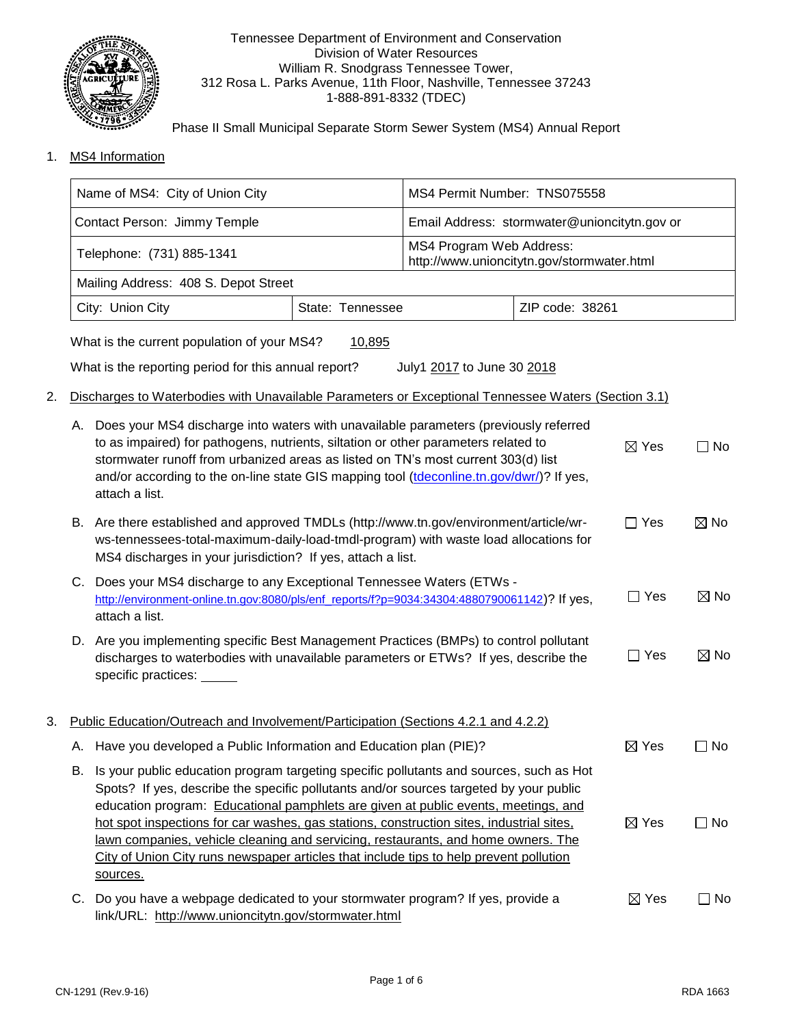

#### Tennessee Department of Environment and Conservation Division of Water Resources William R. Snodgrass Tennessee Tower, 312 Rosa L. Parks Avenue, 11th Floor, Nashville, Tennessee 37243 1-888-891-8332 (TDEC)

Phase II Small Municipal Separate Storm Sewer System (MS4) Annual Report

1. MS4 Information

|    | Name of MS4: City of Union City                                                                                                                                                                                                                                                                                                                                                                                                                                                                                                                                   |                                                                                                                                                                                                                                               | MS4 Permit Number: TNS075558 |                                                                        |                 |                 |                |
|----|-------------------------------------------------------------------------------------------------------------------------------------------------------------------------------------------------------------------------------------------------------------------------------------------------------------------------------------------------------------------------------------------------------------------------------------------------------------------------------------------------------------------------------------------------------------------|-----------------------------------------------------------------------------------------------------------------------------------------------------------------------------------------------------------------------------------------------|------------------------------|------------------------------------------------------------------------|-----------------|-----------------|----------------|
|    | Contact Person: Jimmy Temple                                                                                                                                                                                                                                                                                                                                                                                                                                                                                                                                      |                                                                                                                                                                                                                                               |                              | Email Address: stormwater@unioncitytn.gov or                           |                 |                 |                |
|    | Telephone: (731) 885-1341                                                                                                                                                                                                                                                                                                                                                                                                                                                                                                                                         |                                                                                                                                                                                                                                               |                              | MS4 Program Web Address:<br>http://www.unioncitytn.gov/stormwater.html |                 |                 |                |
|    |                                                                                                                                                                                                                                                                                                                                                                                                                                                                                                                                                                   | Mailing Address: 408 S. Depot Street                                                                                                                                                                                                          |                              |                                                                        |                 |                 |                |
|    |                                                                                                                                                                                                                                                                                                                                                                                                                                                                                                                                                                   | City: Union City                                                                                                                                                                                                                              | State: Tennessee             | ZIP code: 38261                                                        |                 |                 |                |
|    |                                                                                                                                                                                                                                                                                                                                                                                                                                                                                                                                                                   | What is the current population of your MS4?                                                                                                                                                                                                   | 10,895                       |                                                                        |                 |                 |                |
|    |                                                                                                                                                                                                                                                                                                                                                                                                                                                                                                                                                                   | What is the reporting period for this annual report?                                                                                                                                                                                          |                              | July1 2017 to June 30 2018                                             |                 |                 |                |
| 2. |                                                                                                                                                                                                                                                                                                                                                                                                                                                                                                                                                                   | Discharges to Waterbodies with Unavailable Parameters or Exceptional Tennessee Waters (Section 3.1)                                                                                                                                           |                              |                                                                        |                 |                 |                |
|    | A. Does your MS4 discharge into waters with unavailable parameters (previously referred<br>to as impaired) for pathogens, nutrients, siltation or other parameters related to<br>stormwater runoff from urbanized areas as listed on TN's most current 303(d) list<br>and/or according to the on-line state GIS mapping tool (tdeconline.tn.gov/dwr/)? If yes,<br>attach a list.                                                                                                                                                                                  |                                                                                                                                                                                                                                               |                              |                                                                        |                 | $\boxtimes$ Yes | $\Box$ No      |
|    |                                                                                                                                                                                                                                                                                                                                                                                                                                                                                                                                                                   | B. Are there established and approved TMDLs (http://www.tn.gov/environment/article/wr-<br>ws-tennessees-total-maximum-daily-load-tmdl-program) with waste load allocations for<br>MS4 discharges in your jurisdiction? If yes, attach a list. |                              |                                                                        | $\Box$ Yes      | $\boxtimes$ No  |                |
|    | C. Does your MS4 discharge to any Exceptional Tennessee Waters (ETWs -<br>http://environment-online.tn.gov:8080/pls/enf_reports/f?p=9034:34304:4880790061142)? If yes,<br>attach a list.                                                                                                                                                                                                                                                                                                                                                                          |                                                                                                                                                                                                                                               |                              |                                                                        | $\Box$ Yes      | $\boxtimes$ No  |                |
|    |                                                                                                                                                                                                                                                                                                                                                                                                                                                                                                                                                                   | D. Are you implementing specific Best Management Practices (BMPs) to control pollutant<br>discharges to waterbodies with unavailable parameters or ETWs? If yes, describe the<br>specific practices: _____                                    |                              |                                                                        |                 | $\Box$ Yes      | $\boxtimes$ No |
| 3. |                                                                                                                                                                                                                                                                                                                                                                                                                                                                                                                                                                   | Public Education/Outreach and Involvement/Participation (Sections 4.2.1 and 4.2.2)                                                                                                                                                            |                              |                                                                        |                 |                 |                |
|    |                                                                                                                                                                                                                                                                                                                                                                                                                                                                                                                                                                   | A. Have you developed a Public Information and Education plan (PIE)?                                                                                                                                                                          |                              |                                                                        |                 | $\boxtimes$ Yes | $\Box$ No      |
|    | B. Is your public education program targeting specific pollutants and sources, such as Hot<br>Spots? If yes, describe the specific pollutants and/or sources targeted by your public<br>education program: Educational pamphlets are given at public events, meetings, and<br>hot spot inspections for car washes, gas stations, construction sites, industrial sites,<br>lawn companies, vehicle cleaning and servicing, restaurants, and home owners. The<br>City of Union City runs newspaper articles that include tips to help prevent pollution<br>sources. |                                                                                                                                                                                                                                               |                              |                                                                        | $\boxtimes$ Yes | $\Box$ No       |                |
|    |                                                                                                                                                                                                                                                                                                                                                                                                                                                                                                                                                                   | C. Do you have a webpage dedicated to your stormwater program? If yes, provide a<br>link/URL: http://www.unioncitytn.gov/stormwater.html                                                                                                      |                              |                                                                        |                 | $\boxtimes$ Yes | $\square$ No   |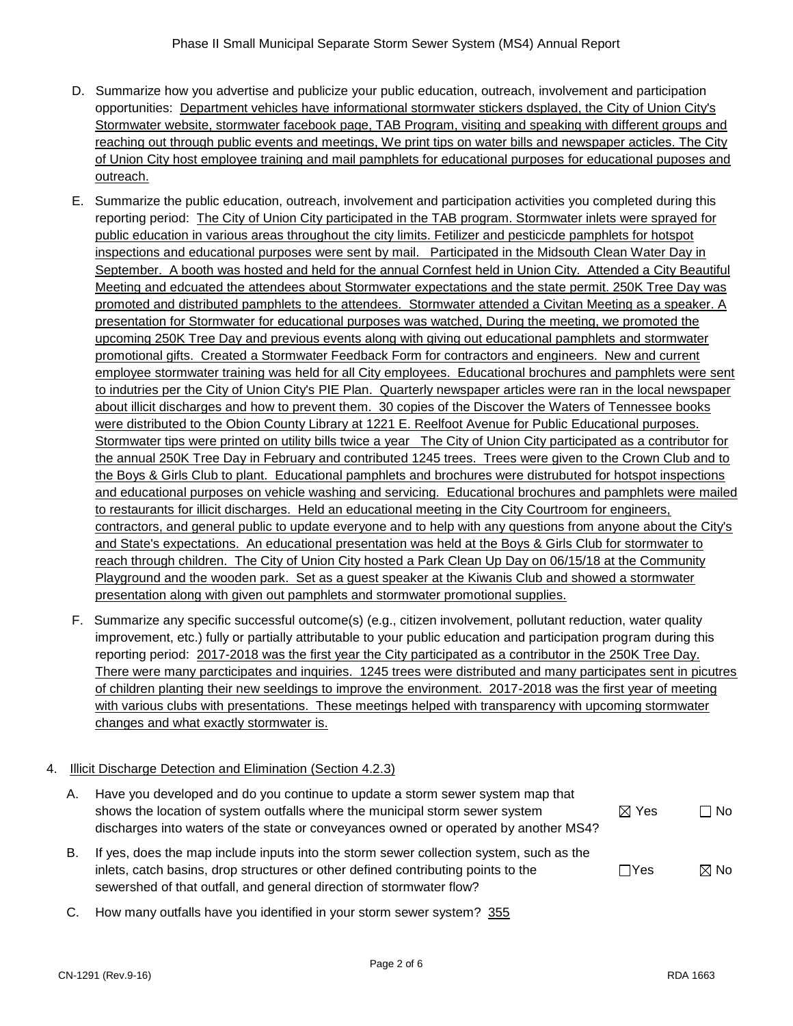- D. Summarize how you advertise and publicize your public education, outreach, involvement and participation opportunities: Department vehicles have informational stormwater stickers dsplayed, the City of Union City's Stormwater website, stormwater facebook page, TAB Program, visiting and speaking with different groups and reaching out through public events and meetings, We print tips on water bills and newspaper acticles. The City of Union City host employee training and mail pamphlets for educational purposes for educational puposes and outreach.
- E. Summarize the public education, outreach, involvement and participation activities you completed during this reporting period: The City of Union City participated in the TAB program. Stormwater inlets were sprayed for public education in various areas throughout the city limits. Fetilizer and pesticicde pamphlets for hotspot inspections and educational purposes were sent by mail. Participated in the Midsouth Clean Water Day in September. A booth was hosted and held for the annual Cornfest held in Union City. Attended a City Beautiful Meeting and edcuated the attendees about Stormwater expectations and the state permit. 250K Tree Day was promoted and distributed pamphlets to the attendees. Stormwater attended a Civitan Meeting as a speaker. A presentation for Stormwater for educational purposes was watched, During the meeting, we promoted the upcoming 250K Tree Day and previous events along with giving out educational pamphlets and stormwater promotional gifts. Created a Stormwater Feedback Form for contractors and engineers. New and current employee stormwater training was held for all City employees. Educational brochures and pamphlets were sent to indutries per the City of Union City's PIE Plan. Quarterly newspaper articles were ran in the local newspaper about illicit discharges and how to prevent them. 30 copies of the Discover the Waters of Tennessee books were distributed to the Obion County Library at 1221 E. Reelfoot Avenue for Public Educational purposes. Stormwater tips were printed on utility bills twice a year The City of Union City participated as a contributor for the annual 250K Tree Day in February and contributed 1245 trees. Trees were given to the Crown Club and to the Boys & Girls Club to plant. Educational pamphlets and brochures were distrubuted for hotspot inspections and educational purposes on vehicle washing and servicing. Educational brochures and pamphlets were mailed to restaurants for illicit discharges. Held an educational meeting in the City Courtroom for engineers, contractors, and general public to update everyone and to help with any questions from anyone about the City's and State's expectations. An educational presentation was held at the Boys & Girls Club for stormwater to reach through children. The City of Union City hosted a Park Clean Up Day on 06/15/18 at the Community Playground and the wooden park. Set as a guest speaker at the Kiwanis Club and showed a stormwater presentation along with given out pamphlets and stormwater promotional supplies.
- F. Summarize any specific successful outcome(s) (e.g., citizen involvement, pollutant reduction, water quality improvement, etc.) fully or partially attributable to your public education and participation program during this reporting period: 2017-2018 was the first year the City participated as a contributor in the 250K Tree Day. There were many parcticipates and inquiries. 1245 trees were distributed and many participates sent in picutres of children planting their new seeldings to improve the environment. 2017-2018 was the first year of meeting with various clubs with presentations. These meetings helped with transparency with upcoming stormwater changes and what exactly stormwater is.

#### 4. Illicit Discharge Detection and Elimination (Section 4.2.3)

- A. Have you developed and do you continue to update a storm sewer system map that shows the location of system outfalls where the municipal storm sewer system discharges into waters of the state or conveyances owned or operated by another MS4?  $\boxtimes$  Yes  $\Box$  No B. If yes, does the map include inputs into the storm sewer collection system, such as the inlets, catch basins, drop structures or other defined contributing points to the  $\Box$ Yes  $\boxtimes$  No
- C. How many outfalls have you identified in your storm sewer system? 355

sewershed of that outfall, and general direction of stormwater flow?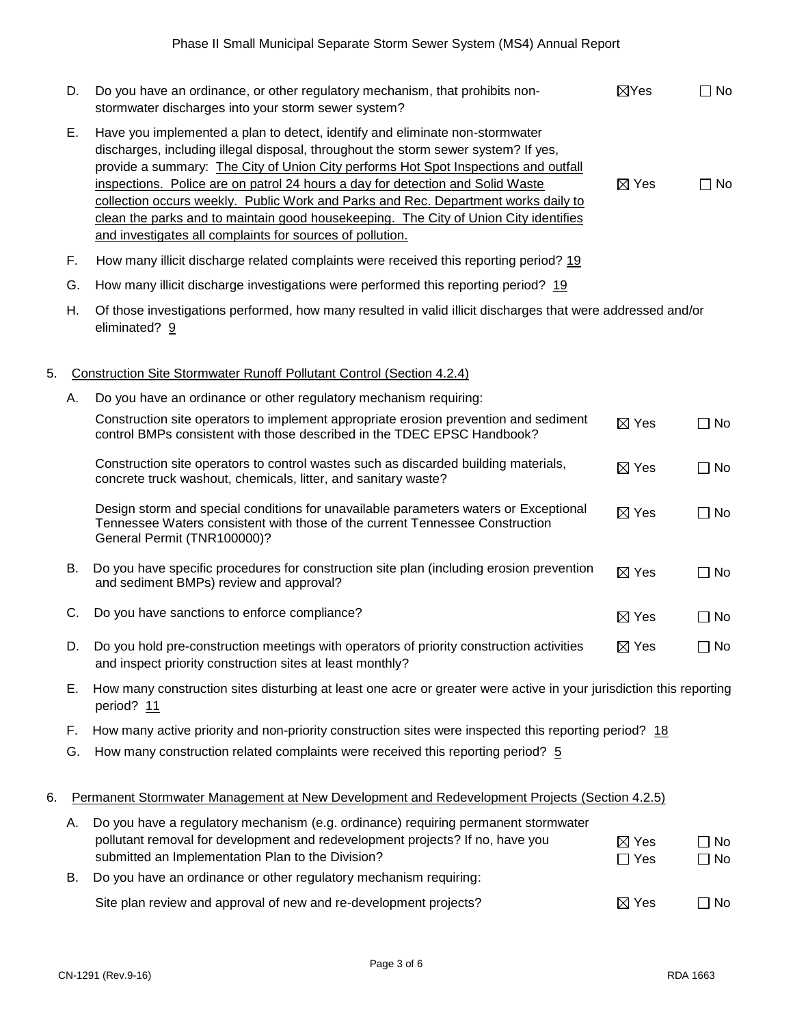|    | D.        | Do you have an ordinance, or other regulatory mechanism, that prohibits non-<br>stormwater discharges into your storm sewer system?                                                                                                                                                                                                                                                                                                                                                                                                                                                    | $\boxtimes$ Yes               | $\square$ No           |
|----|-----------|----------------------------------------------------------------------------------------------------------------------------------------------------------------------------------------------------------------------------------------------------------------------------------------------------------------------------------------------------------------------------------------------------------------------------------------------------------------------------------------------------------------------------------------------------------------------------------------|-------------------------------|------------------------|
|    | Ε.        | Have you implemented a plan to detect, identify and eliminate non-stormwater<br>discharges, including illegal disposal, throughout the storm sewer system? If yes,<br>provide a summary: The City of Union City performs Hot Spot Inspections and outfall<br>inspections. Police are on patrol 24 hours a day for detection and Solid Waste<br>collection occurs weekly. Public Work and Parks and Rec. Department works daily to<br>clean the parks and to maintain good housekeeping. The City of Union City identifies<br>and investigates all complaints for sources of pollution. | $\boxtimes$ Yes               | $\square$ No           |
|    | F.        | How many illicit discharge related complaints were received this reporting period? 19                                                                                                                                                                                                                                                                                                                                                                                                                                                                                                  |                               |                        |
|    | G.        | How many illicit discharge investigations were performed this reporting period? 19                                                                                                                                                                                                                                                                                                                                                                                                                                                                                                     |                               |                        |
|    | Η.        | Of those investigations performed, how many resulted in valid illicit discharges that were addressed and/or<br>eliminated? 9                                                                                                                                                                                                                                                                                                                                                                                                                                                           |                               |                        |
| 5. |           | Construction Site Stormwater Runoff Pollutant Control (Section 4.2.4)                                                                                                                                                                                                                                                                                                                                                                                                                                                                                                                  |                               |                        |
|    | Α.        | Do you have an ordinance or other regulatory mechanism requiring:                                                                                                                                                                                                                                                                                                                                                                                                                                                                                                                      |                               |                        |
|    |           | Construction site operators to implement appropriate erosion prevention and sediment<br>control BMPs consistent with those described in the TDEC EPSC Handbook?                                                                                                                                                                                                                                                                                                                                                                                                                        | $\boxtimes$ Yes               | $\Box$ No              |
|    |           | Construction site operators to control wastes such as discarded building materials,<br>concrete truck washout, chemicals, litter, and sanitary waste?                                                                                                                                                                                                                                                                                                                                                                                                                                  | $\boxtimes$ Yes               | $\Box$ No              |
|    |           | Design storm and special conditions for unavailable parameters waters or Exceptional<br>Tennessee Waters consistent with those of the current Tennessee Construction<br>General Permit (TNR100000)?                                                                                                                                                                                                                                                                                                                                                                                    | $\boxtimes$ Yes               | $\Box$ No              |
|    | <b>B.</b> | Do you have specific procedures for construction site plan (including erosion prevention<br>and sediment BMPs) review and approval?                                                                                                                                                                                                                                                                                                                                                                                                                                                    | $\boxtimes$ Yes               | $\square$ No           |
|    | C.        | Do you have sanctions to enforce compliance?                                                                                                                                                                                                                                                                                                                                                                                                                                                                                                                                           | $\boxtimes$ Yes               | $\Box$ No              |
|    | D.        | Do you hold pre-construction meetings with operators of priority construction activities<br>and inspect priority construction sites at least monthly?                                                                                                                                                                                                                                                                                                                                                                                                                                  | $\boxtimes$ Yes               | $\Box$ No              |
|    | Ε.        | How many construction sites disturbing at least one acre or greater were active in your jurisdiction this reporting<br>period? 11                                                                                                                                                                                                                                                                                                                                                                                                                                                      |                               |                        |
|    | F.        | How many active priority and non-priority construction sites were inspected this reporting period? 18                                                                                                                                                                                                                                                                                                                                                                                                                                                                                  |                               |                        |
|    | G.        | How many construction related complaints were received this reporting period? 5                                                                                                                                                                                                                                                                                                                                                                                                                                                                                                        |                               |                        |
| 6. |           | Permanent Stormwater Management at New Development and Redevelopment Projects (Section 4.2.5)                                                                                                                                                                                                                                                                                                                                                                                                                                                                                          |                               |                        |
|    | Α.        | Do you have a regulatory mechanism (e.g. ordinance) requiring permanent stormwater<br>pollutant removal for development and redevelopment projects? If no, have you<br>submitted an Implementation Plan to the Division?                                                                                                                                                                                                                                                                                                                                                               | $\boxtimes$ Yes<br>$\Box$ Yes | $\Box$ No<br>$\Box$ No |
|    | В.        | Do you have an ordinance or other regulatory mechanism requiring:                                                                                                                                                                                                                                                                                                                                                                                                                                                                                                                      |                               |                        |
|    |           | Site plan review and approval of new and re-development projects?                                                                                                                                                                                                                                                                                                                                                                                                                                                                                                                      | $\boxtimes$ Yes               | $\Box$ No              |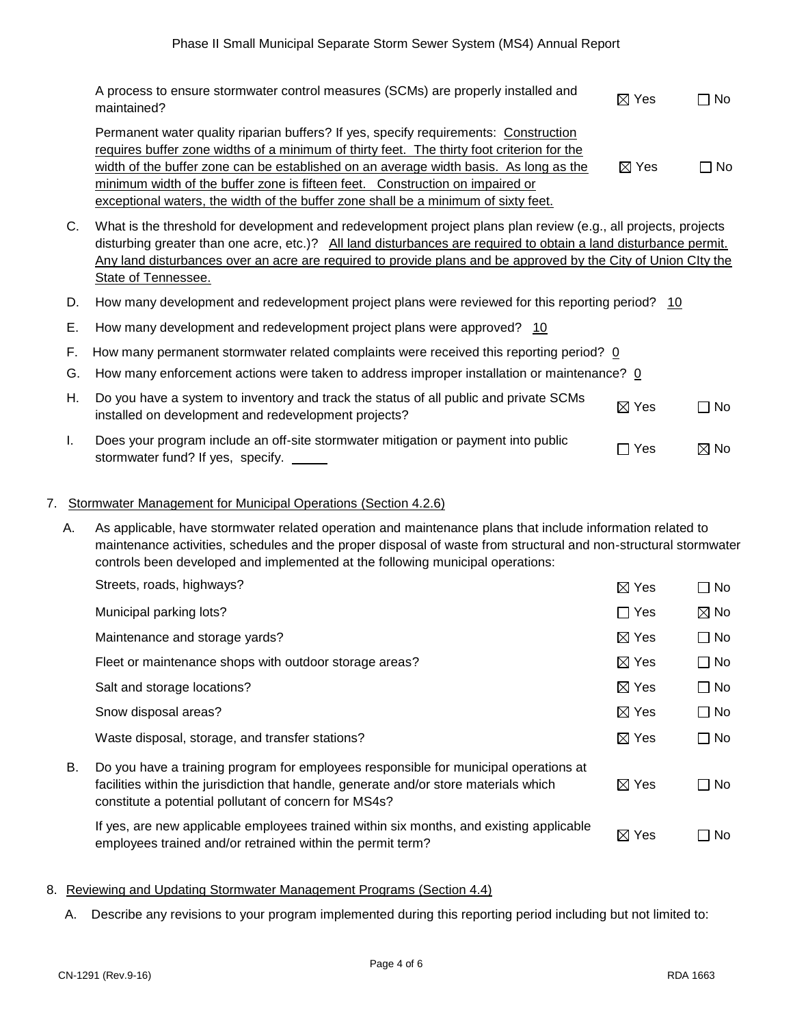|          | A process to ensure stormwater control measures (SCMs) are properly installed and<br>maintained?                                                                                                                                                                                                                                                                                                                                                   | $\boxtimes$ Yes                 | $\Box$ No      |
|----------|----------------------------------------------------------------------------------------------------------------------------------------------------------------------------------------------------------------------------------------------------------------------------------------------------------------------------------------------------------------------------------------------------------------------------------------------------|---------------------------------|----------------|
|          | Permanent water quality riparian buffers? If yes, specify requirements: Construction<br>requires buffer zone widths of a minimum of thirty feet. The thirty foot criterion for the<br>width of the buffer zone can be established on an average width basis. As long as the<br>minimum width of the buffer zone is fifteen feet. Construction on impaired or<br>exceptional waters, the width of the buffer zone shall be a minimum of sixty feet. | $\boxtimes$ Yes                 | $\Box$ No      |
| C.       | What is the threshold for development and redevelopment project plans plan review (e.g., all projects, projects<br>disturbing greater than one acre, etc.)? All land disturbances are required to obtain a land disturbance permit.<br>Any land disturbances over an acre are required to provide plans and be approved by the City of Union City the<br>State of Tennessee.                                                                       |                                 |                |
| D.       | How many development and redevelopment project plans were reviewed for this reporting period? 10                                                                                                                                                                                                                                                                                                                                                   |                                 |                |
| Ε.       | How many development and redevelopment project plans were approved? 10                                                                                                                                                                                                                                                                                                                                                                             |                                 |                |
| F.<br>G. | How many permanent stormwater related complaints were received this reporting period? 0<br>How many enforcement actions were taken to address improper installation or maintenance? 0                                                                                                                                                                                                                                                              |                                 |                |
| Η.       | Do you have a system to inventory and track the status of all public and private SCMs<br>installed on development and redevelopment projects?                                                                                                                                                                                                                                                                                                      | $\boxtimes$ Yes                 | □ No           |
| L.       | Does your program include an off-site stormwater mitigation or payment into public<br>stormwater fund? If yes, specify.                                                                                                                                                                                                                                                                                                                            | Yes<br>$\overline{\phantom{a}}$ | $\boxtimes$ No |

#### 7. Stormwater Management for Municipal Operations (Section 4.2.6)

 A. As applicable, have stormwater related operation and maintenance plans that include information related to maintenance activities, schedules and the proper disposal of waste from structural and non-structural stormwater controls been developed and implemented at the following municipal operations:

| Streets, roads, highways?                                                                                                                                                                                                              | $\boxtimes$ Yes | $\Box$ No      |
|----------------------------------------------------------------------------------------------------------------------------------------------------------------------------------------------------------------------------------------|-----------------|----------------|
| Municipal parking lots?                                                                                                                                                                                                                | $\Box$ Yes      | $\boxtimes$ No |
| Maintenance and storage yards?                                                                                                                                                                                                         | $\boxtimes$ Yes | $\Box$ No      |
| Fleet or maintenance shops with outdoor storage areas?                                                                                                                                                                                 | $\boxtimes$ Yes | $\Box$ No      |
| Salt and storage locations?                                                                                                                                                                                                            | $\boxtimes$ Yes | $\Box$ No      |
| Snow disposal areas?                                                                                                                                                                                                                   | $\boxtimes$ Yes | $\Box$ No      |
| Waste disposal, storage, and transfer stations?                                                                                                                                                                                        | $\boxtimes$ Yes | $\Box$ No      |
| Do you have a training program for employees responsible for municipal operations at<br>facilities within the jurisdiction that handle, generate and/or store materials which<br>constitute a potential pollutant of concern for MS4s? | $\boxtimes$ Yes | $\Box$ No      |
| If yes, are new applicable employees trained within six months, and existing applicable<br>employees trained and/or retrained within the permit term?                                                                                  | $\boxtimes$ Yes | □ No           |
|                                                                                                                                                                                                                                        |                 |                |

## 8. Reviewing and Updating Stormwater Management Programs (Section 4.4)

A. Describe any revisions to your program implemented during this reporting period including but not limited to: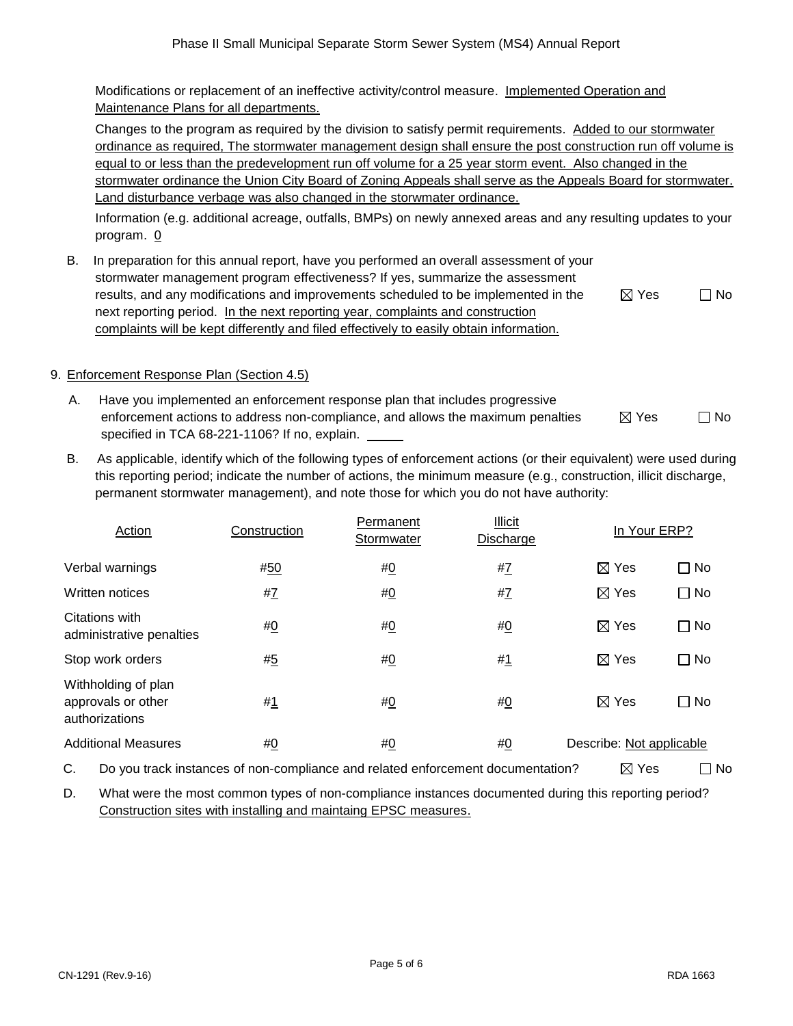Modifications or replacement of an ineffective activity/control measure. Implemented Operation and Maintenance Plans for all departments.

Changes to the program as required by the division to satisfy permit requirements. Added to our stormwater ordinance as required, The stormwater management design shall ensure the post construction run off volume is equal to or less than the predevelopment run off volume for a 25 year storm event. Also changed in the stormwater ordinance the Union City Board of Zoning Appeals shall serve as the Appeals Board for stormwater. Land disturbance verbage was also changed in the storwmater ordinance.

Information (e.g. additional acreage, outfalls, BMPs) on newly annexed areas and any resulting updates to your program. 0

 B. In preparation for this annual report, have you performed an overall assessment of your stormwater management program effectiveness? If yes, summarize the assessment results, and any modifications and improvements scheduled to be implemented in the next reporting period. In the next reporting year, complaints and construction complaints will be kept differently and filed effectively to easily obtain information.

| $\boxtimes$ Yes | $\Box$ No |
|-----------------|-----------|
|-----------------|-----------|

# 9. Enforcement Response Plan (Section 4.5)

- A. Have you implemented an enforcement response plan that includes progressive enforcement actions to address non-compliance, and allows the maximum penalties specified in TCA 68-221-1106? If no, explain.  $\boxtimes$  Yes  $\Box$  No
- B. As applicable, identify which of the following types of enforcement actions (or their equivalent) were used during this reporting period; indicate the number of actions, the minimum measure (e.g., construction, illicit discharge, permanent stormwater management), and note those for which you do not have authority:

| Action                                                      | Construction   | Permanent<br>Stormwater | <b>Illicit</b><br>Discharge | In Your ERP?             |                |
|-------------------------------------------------------------|----------------|-------------------------|-----------------------------|--------------------------|----------------|
| Verbal warnings                                             | #50            | #0                      | #Z                          | $\boxtimes$ Yes          | $\Box$ No      |
| Written notices                                             | # $\mathbf{Z}$ | #0                      | # $\mathbf{Z}$              | $\boxtimes$ Yes          | $\Box$ No      |
| Citations with<br>administrative penalties                  | #0             | #0                      | # <u>0</u>                  | $\boxtimes$ Yes          | <b>No</b><br>П |
| Stop work orders                                            | #5             | #0                      | #1                          | $\boxtimes$ Yes          | No             |
| Withholding of plan<br>approvals or other<br>authorizations | #1             | #0                      | <u>#0</u>                   | $\boxtimes$ Yes          | $\Box$ No      |
| <b>Additional Measures</b>                                  | #0             | #0                      | #0                          | Describe: Not applicable |                |

C. Do you track instances of non-compliance and related enforcement documentation?  $\boxtimes$  Yes  $\Box$  No

 D. What were the most common types of non-compliance instances documented during this reporting period? Construction sites with installing and maintaing EPSC measures.